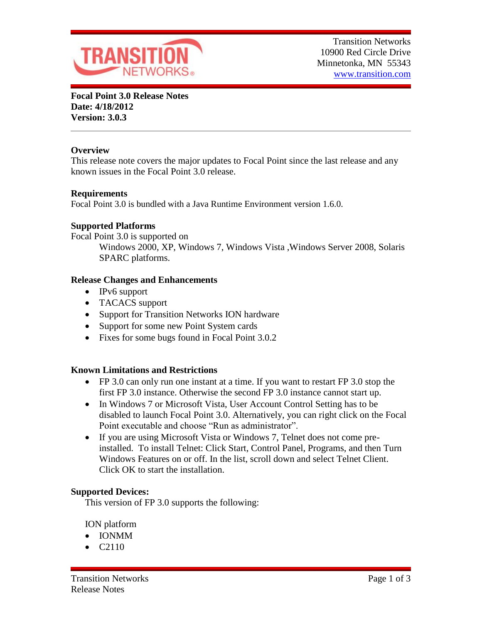

**Focal Point 3.0 Release Notes Date: 4/18/2012 Version: 3.0.3**

# **Overview**

This release note covers the major updates to Focal Point since the last release and any known issues in the Focal Point 3.0 release.

# **Requirements**

Focal Point 3.0 is bundled with a Java Runtime Environment version 1.6.0.

# **Supported Platforms**

Focal Point 3.0 is supported on

Windows 2000, XP, Windows 7, Windows Vista ,Windows Server 2008, Solaris SPARC platforms.

### **Release Changes and Enhancements**

- IPv6 support
- TACACS support
- Support for Transition Networks ION hardware
- Support for some new Point System cards
- Fixes for some bugs found in Focal Point 3.0.2

# **Known Limitations and Restrictions**

- FP 3.0 can only run one instant at a time. If you want to restart FP 3.0 stop the first FP 3.0 instance. Otherwise the second FP 3.0 instance cannot start up.
- In Windows 7 or Microsoft Vista, User Account Control Setting has to be disabled to launch Focal Point 3.0. Alternatively, you can right click on the Focal Point executable and choose "Run as administrator".
- If you are using Microsoft Vista or Windows 7, Telnet does not come preinstalled. To install Telnet: Click Start, Control Panel, Programs, and then Turn Windows Features on or off. In the list, scroll down and select Telnet Client. Click OK to start the installation.

### **Supported Devices:**

This version of FP 3.0 supports the following:

ION platform

- IONMM
- $\bullet$  C<sub>2110</sub>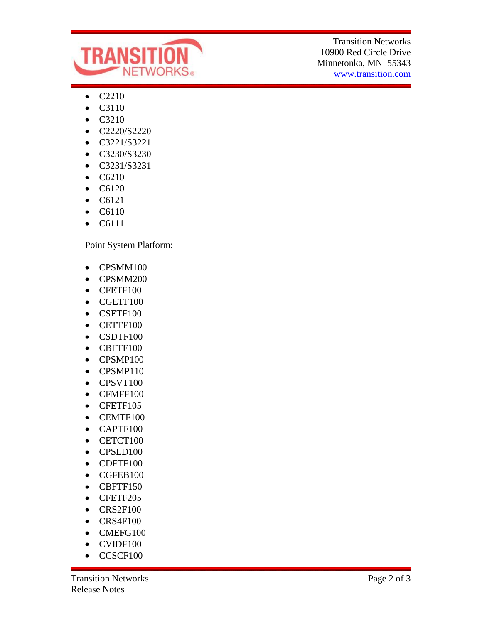

Transition Networks 10900 Red Circle Drive Minnetonka, MN 55343 www.transition.com

- C2210
- C3110
- C3210
- C2220/S2220
- C3221/S3221
- C3230/S3230
- C3231/S3231
- C6210
- C6120
- $\bullet$  C6121
- C6110
- C6111

Point System Platform:

- CPSMM100
- CPSMM200
- CFETF100
- CGETF100
- CSETF100
- CETTF100
- CSDTF100
- CBFTF100
- CPSMP100
- CPSMP110
- CPSVT100
- CFMFF100
- CFETF105
- CEMTF100
- CAPTF100
- CETCT100
- CPSLD100
- CDFTF100
- CGFEB100
- CBFTF150
- CFETF205
- CRS2F100
- $\bullet$  CRS4F100
- CMEFG100
- CVIDF100
- CCSCF100